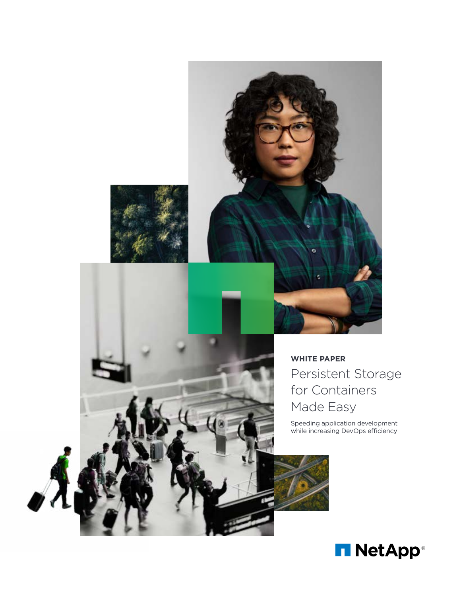

# **WHITE PAPER** Persistent Storage for Containers Made Easy

Speeding application development while increasing DevOps efficiency

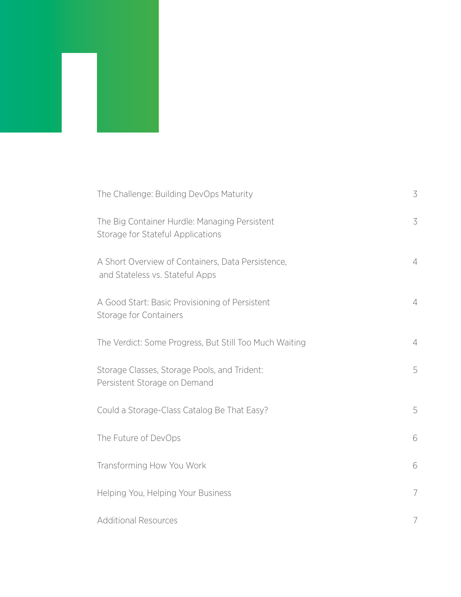| The Challenge: Building DevOps Maturity                                              | 3              |
|--------------------------------------------------------------------------------------|----------------|
| The Big Container Hurdle: Managing Persistent<br>Storage for Stateful Applications   | 3              |
| A Short Overview of Containers, Data Persistence,<br>and Stateless vs. Stateful Apps | $\overline{4}$ |
| A Good Start: Basic Provisioning of Persistent<br>Storage for Containers             | $\overline{4}$ |
| The Verdict: Some Progress, But Still Too Much Waiting                               | $\overline{4}$ |
| Storage Classes, Storage Pools, and Trident:<br>Persistent Storage on Demand         | 5              |
| Could a Storage-Class Catalog Be That Easy?                                          | 5              |
| The Future of DevOps                                                                 | 6              |
| Transforming How You Work                                                            | 6              |
| Helping You, Helping Your Business                                                   | $\overline{7}$ |
| <b>Additional Resources</b>                                                          | 7              |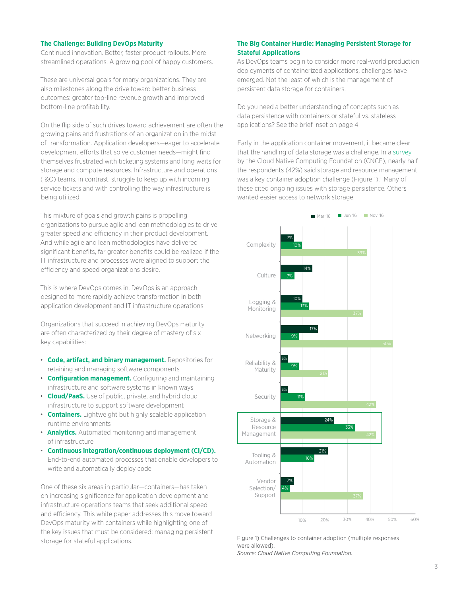## <span id="page-2-0"></span>**The Challenge: Building DevOps Maturity**

Continued innovation. Better, faster product rollouts. More streamlined operations. A growing pool of happy customers.

These are universal goals for many organizations. They are also milestones along the drive toward better business outcomes: greater top-line revenue growth and improved bottom-line profitability.

On the flip side of such drives toward achievement are often the growing pains and frustrations of an organization in the midst of transformation. Application developers—eager to accelerate development efforts that solve customer needs—might find themselves frustrated with ticketing systems and long waits for storage and compute resources. Infrastructure and operations (I&O) teams, in contrast, struggle to keep up with incoming service tickets and with controlling the way infrastructure is being utilized.

This mixture of goals and growth pains is propelling organizations to pursue agile and lean methodologies to drive greater speed and efficiency in their product development. And while agile and lean methodologies have delivered significant benefits, far greater benefits could be realized if the IT infrastructure and processes were aligned to support the efficiency and speed organizations desire.

This is where DevOps comes in. DevOps is an approach designed to more rapidly achieve transformation in both application development and IT infrastructure operations.

Organizations that succeed in achieving DevOps maturity are often characterized by their degree of mastery of six key capabilities:

- **Code, artifact, and binary management.** Repositories for retaining and managing software components
- **Configuration management.** Configuring and maintaining infrastructure and software systems in known ways
- **Cloud/PaaS.** Use of public, private, and hybrid cloud infrastructure to support software development
- **Containers.** Lightweight but highly scalable application runtime environments
- **Analytics.** Automated monitoring and management of infrastructure
- **Continuous integration/continuous deployment (CI/CD).** End-to-end automated processes that enable developers to write and automatically deploy code

One of these six areas in particular—containers—has taken on increasing significance for application development and infrastructure operations teams that seek additional speed and efficiency. This white paper addresses this move toward DevOps maturity with containers while highlighting one of the key issues that must be considered: managing persistent storage for stateful applications.

# **The Big Container Hurdle: Managing Persistent Storage for Stateful Applications**

As DevOps teams begin to consider more real-world production deployments of containerized applications, challenges have emerged. Not the least of which is the management of persistent data storage for containers.

Do you need a better understanding of concepts such as data persistence with containers or stateful vs. stateless applications? See the brief inset on page 4.

Early in the application container movement, it became clear that the handling of data storage was a challenge. In a [survey](https://www.cncf.io/blog/2017/04/27/meeting-challenges-using-deploying-containers/) by the Cloud Native Computing Foundation (CNCF), nearly half the respondents (42%) said storage and resource management was a key container adoption challenge (Figure 1).<sup>1</sup> Many of these cited ongoing issues with storage persistence. Others wanted easier access to network storage.



Figure 1) Challenges to container adoption (multiple responses were allowed). *Source: Cloud Native Computing Foundation.*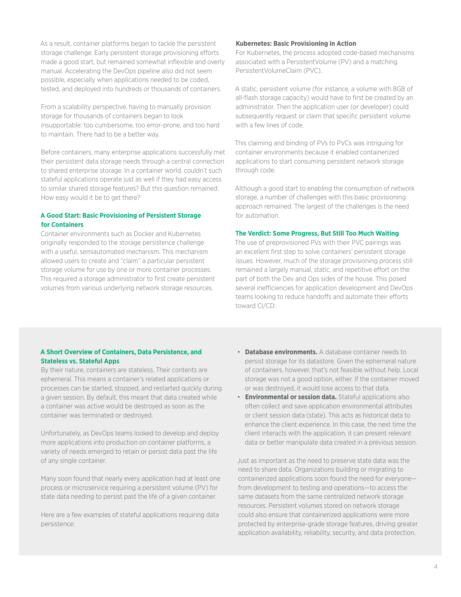<span id="page-3-0"></span>As a result, container platforms began to tackle the persistent storage challenge. Early persistent storage provisioning efforts made a good start, but remained somewhat inflexible and overly manual. Accelerating the DevOps pipeline also did not seem possible, especially when applications needed to be coded, tested, and deployed into hundreds or thousands of containers.

From a scalability perspective, having to manually provision storage for thousands of containers began to look insupportable: too cumbersome, too error-prone, and too hard to maintain. There had to be a better way.

Before containers, many enterprise applications successfully met their persistent data storage needs through a central connection to shared enterprise storage. In a container world, couldn't such stateful applications operate just as well if they had easy access to similar shared storage features? But this question remained: How easy would it be to get there?

# **A Good Start: Basic Provisioning of Persistent Storage for Containers**

Container environments such as Docker and Kubernetes originally responded to the storage persistence challenge with a useful, semiautomated mechanism. This mechanism allowed users to create and "claim" a particular persistent storage volume for use by one or more container processes. This required a storage administrator to first create persistent volumes from various underlying network storage resources.

#### **Kubernetes: Basic Provisioning in Action**

For Kubernetes, the process adopted code-based mechanisms associated with a PersistentVolume (PV) and a matching PersistentVolumeClaim (PVC).

A static, persistent volume (for instance, a volume with 8GB of all-flash storage capacity) would have to first be created by an administrator. Then the application user (or developer) could subsequently request or claim that specific persistent volume with a few lines of code.

This claiming and binding of PVs to PVCs was intriguing for container environments because it enabled containerized applications to start consuming persistent network storage through code.

Although a good start to enabling the consumption of network storage, a number of challenges with this basic provisioning approach remained. The largest of the challenges is the need for automation.

# **The Verdict: Some Progress, But Still Too Much Waiting**

The use of preprovisioned PVs with their PVC pairings was an excellent first step to solve containers' persistent storage issues. However, much of the storage provisioning process still remained a largely manual, static, and repetitive effort on the part of both the Dev and Ops sides of the house. This posed several inefficiencies for application development and DevOps teams looking to reduce handoffs and automate their efforts toward CI/CD:

# **A Short Overview of Containers, Data Persistence, and Stateless vs. Stateful Apps**

By their nature, containers are stateless. Their contents are ephemeral. This means a container's related applications or processes can be started, stopped, and restarted quickly during a given session. By default, this meant that data created while a container was active would be destroyed as soon as the container was terminated or destroyed.

Unfortunately, as DevOps teams looked to develop and deploy more applications into production on container platforms, a variety of needs emerged to retain or persist data past the life of any single container.

Many soon found that nearly every application had at least one process or microservice requiring a persistent volume (PV) for state data needing to persist past the life of a given container.

Here are a few examples of stateful applications requiring data persistence:

- **Database environments.** A database container needs to persist storage for its datastore. Given the ephemeral nature of containers, however, that's not feasible without help. Local storage was not a good option, either. If the container moved or was destroyed, it would lose access to that data.
- **Environmental or session data.** Stateful applications also often collect and save application environmental attributes or client session data (state). This acts as historical data to enhance the client experience. In this case, the next time the client interacts with the application, it can present relevant data or better manipulate data created in a previous session.

Just as important as the need to preserve state data was the need to share data. Organizations building or migrating to containerized applications soon found the need for everyone from development to testing and operations—to access the same datasets from the same centralized network storage resources. Persistent volumes stored on network storage could also ensure that containerized applications were more protected by enterprise-grade storage features, driving greater application availability, reliability, security, and data protection.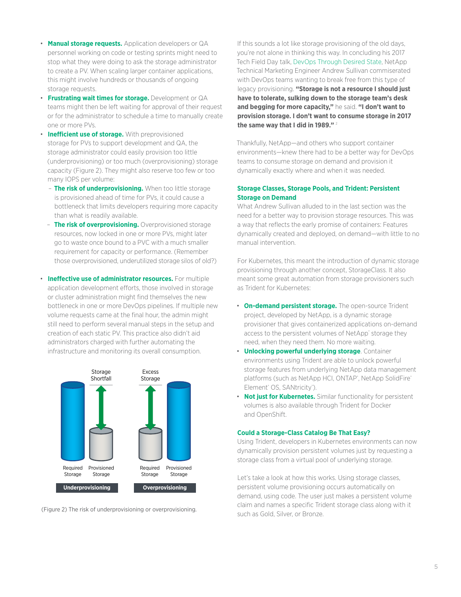- <span id="page-4-0"></span>• **Manual storage requests.** Application developers or QA personnel working on code or testing sprints might need to stop what they were doing to ask the storage administrator to create a PV. When scaling larger container applications, this might involve hundreds or thousands of ongoing storage requests.
- **Frustrating wait times for storage.** Development or QA teams might then be left waiting for approval of their request or for the administrator to schedule a time to manually create one or more PVs.
- **Inefficient use of storage.** With preprovisioned storage for PVs to support development and QA, the storage administrator could easily provision too little (underprovisioning) or too much (overprovisioning) storage capacity (Figure 2). They might also reserve too few or too many IOPS per volume:
	- **The risk of underprovisioning.** When too little storage is provisioned ahead of time for PVs, it could cause a bottleneck that limits developers requiring more capacity than what is readily available.
	- **The risk of overprovisioning.** Overprovisioned storage resources, now locked in one or more PVs, might later go to waste once bound to a PVC with a much smaller requirement for capacity or performance. (Remember those overprovisioned, underutilized storage silos of old?)
- **Ineffective use of administrator resources.** For multiple application development efforts, those involved in storage or cluster administration might find themselves the new bottleneck in one or more DevOps pipelines. If multiple new volume requests came at the final hour, the admin might still need to perform several manual steps in the setup and creation of each static PV. This practice also didn't aid administrators charged with further automating the infrastructure and monitoring its overall consumption.



(Figure 2) The risk of underprovisioning or overprovisioning.

If this sounds a lot like storage provisioning of the old days, you're not alone in thinking this way. In concluding his 2017 Tech Field Day talk, [DevOps Through Desired State,](https://www.youtube.com/watch?v=btLZl7M6gnY&=&list=PLinuRwpnsHacYmunO7zyES6SyrsrFfu5O&=&index=4) NetApp Technical Marketing Engineer Andrew Sullivan commiserated with DevOps teams wanting to break free from this type of legacy provisioning. **"Storage is not a resource I should just have to tolerate, sulking down to the storage team's desk and begging for more capacity,"** he said. **"I don't want to provision storage. I don't want to consume storage in 2017 the same way that I did in 1989."** <sup>2</sup>

Thankfully, NetApp—and others who support container environments—knew there had to be a better way for DevOps teams to consume storage on demand and provision it dynamically exactly where and when it was needed.

# **Storage Classes, Storage Pools, and Trident: Persistent Storage on Demand**

What Andrew Sullivan alluded to in the last section was the need for a better way to provision storage resources. This was a way that reflects the early promise of containers: Features dynamically created and deployed, on demand—with little to no manual intervention.

For Kubernetes, this meant the introduction of dynamic storage provisioning through another concept, StorageClass. It also meant some great automation from storage provisioners such as Trident for Kubernetes:

- **On-demand persistent storage.** The open-source Trident project, developed by NetApp, is a dynamic storage provisioner that gives containerized applications on-demand access to the persistent volumes of NetApp<sup>®</sup> storage they need, when they need them. No more waiting.
- **Unlocking powerful underlying storage**. Container environments using Trident are able to unlock powerful storage features from underlying NetApp data management platforms (such as NetApp HCI, ONTAP<sup>®</sup>, NetApp SolidFire® Element<sup>®</sup> OS, SANtricity®).
- **Not just for Kubernetes.** Similar functionality for persistent volumes is also available through Trident for Docker and OpenShift.

# **Could a Storage-Class Catalog Be That Easy?**

Using Trident, developers in Kubernetes environments can now dynamically provision persistent volumes just by requesting a storage class from a virtual pool of underlying storage.

Let's take a look at how this works. Using storage classes, persistent volume provisioning occurs automatically on demand, using code. The user just makes a persistent volume claim and names a specific Trident storage class along with it such as Gold, Silver, or Bronze.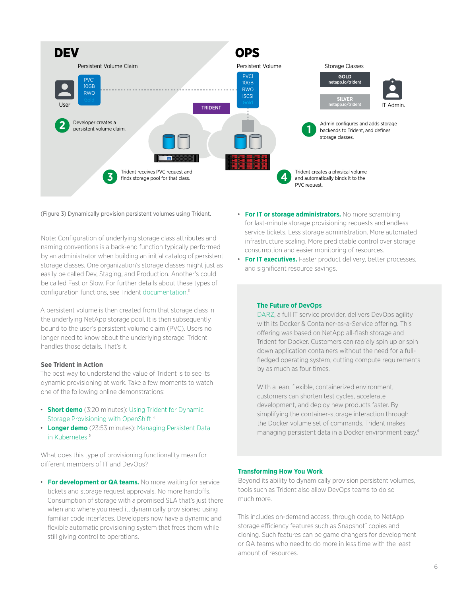<span id="page-5-0"></span>

(Figure 3) Dynamically provision persistent volumes using Trident. • **For IT or storage administrators.** No more scrambling

Note: Configuration of underlying storage class attributes and naming conventions is a back-end function typically performed by an administrator when building an initial catalog of persistent storage classes. One organization's storage classes might just as easily be called Dev, Staging, and Production. Another's could be called Fast or Slow. For further details about these types of configuration functions, see Trident [documentation.](https://netapp-trident.readthedocs.io/en/stable-v18.04/) 3

A persistent volume is then created from that storage class in the underlying NetApp storage pool. It is then subsequently bound to the user's persistent volume claim (PVC). Users no longer need to know about the underlying storage. Trident handles those details. That's it.

# **See Trident in Action**

The best way to understand the value of Trident is to see its dynamic provisioning at work. Take a few moments to watch one of the following online demonstrations:

- **Short demo** (3:20 minutes): [Using Trident for Dynamic](http://www.youtube.com/watch?v=97VZWYssL2E)  [Storage Provisioning with OpenShift](http://www.youtube.com/watch?v=97VZWYssL2E) 4
- **Longer demo** (23:53 minutes): [Managing Persistent Data](https://www.youtube.com/watch?v=XIuN91vG2wM)  in Kubernetes<sup>5</sup>

What does this type of provisioning functionality mean for different members of IT and DevOps?

• **For development or QA teams.** No more waiting for service tickets and storage request approvals. No more handoffs. Consumption of storage with a promised SLA that's just there when and where you need it, dynamically provisioned using familiar code interfaces. Developers now have a dynamic and flexible automatic provisioning system that frees them while still giving control to operations.

- for last-minute storage provisioning requests and endless service tickets. Less storage administration. More automated infrastructure scaling. More predictable control over storage consumption and easier monitoring of resources.
- **For IT executives.** Faster product delivery, better processes, and significant resource savings.

# **The Future of DevOps**

[DARZ](https://www.netapp.com/us/media/cs-darz-devops.pdf), a full IT service provider, delivers DevOps agility with its Docker & Container-as-a-Service offering. This offering was based on NetApp all-flash storage and Trident for Docker. Customers can rapidly spin up or spin down application containers without the need for a fullfledged operating system, cutting compute requirements by as much as four times.

With a lean, flexible, containerized environment. customers can shorten test cycles, accelerate development, and deploy new products faster. By simplifying the container-storage interaction through the Docker volume set of commands, Trident makes managing persistent data in a Docker environment easy.6

# **Transforming How You Work**

Beyond its ability to dynamically provision persistent volumes, tools such as Trident also allow DevOps teams to do so much more.

This includes on-demand access, through code, to NetApp storage efficiency features such as Snapshot™ copies and cloning. Such features can be game changers for development or QA teams who need to do more in less time with the least amount of resources.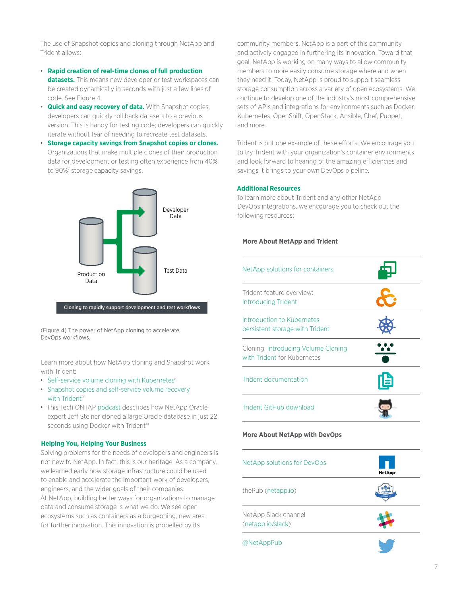<span id="page-6-0"></span>The use of Snapshot copies and cloning through NetApp and Trident allows:

- **Rapid creation of real-time clones of full production datasets.** This means new developer or test workspaces can be created dynamically in seconds with just a few lines of code. See Figure 4.
- **Quick and easy recovery of data.** With Snapshot copies, developers can quickly roll back datasets to a previous version. This is handy for testing code; developers can quickly iterate without fear of needing to recreate test datasets.
- **Storage capacity savings from Snapshot copies or clones.**  Organizations that make multiple clones of their production data for development or testing often experience from 40% to 90%<sup>7</sup> storage capacity savings.



(Figure 4) The power of NetApp cloning to accelerate DevOps workflows.

Learn more about how NetApp cloning and Snapshot work with Trident:

- Self-service volume cloning with Kubernetes<sup>8</sup>
- [Snapshot copies and self-service volume recovery](https://netapp.io/2018/04/03/self-service-data-recovery-using-trident-nfs/)  with Trident<sup>9</sup>
- This Tech ONTAP [podcast](https://soundcloud.com/techontap_podcast/episode-99-databases-as-a-service-containers) describes how NetApp Oracle expert Jeff Steiner cloned a large Oracle database in just 22 seconds using Docker with Trident<sup>10</sup>

# **Helping You, Helping Your Business**

Solving problems for the needs of developers and engineers is not new to NetApp. In fact, this is our heritage. As a company, we learned early how storage infrastructure could be used to enable and accelerate the important work of developers, engineers, and the wider goals of their companies. At NetApp, building better ways for organizations to manage data and consume storage is what we do. We see open ecosystems such as containers as a burgeoning, new area for further innovation. This innovation is propelled by its

community members. NetApp is a part of this community and actively engaged in furthering its innovation. Toward that goal, NetApp is working on many ways to allow community members to more easily consume storage where and when they need it. Today, NetApp is proud to support seamless storage consumption across a variety of open ecosystems. We continue to develop one of the industry's most comprehensive sets of APIs and integrations for environments such as Docker, Kubernetes, OpenShift, OpenStack, Ansible, Chef, Puppet, and more.

Trident is but one example of these efforts. We encourage you to try Trident with your organization's container environments and look forward to hearing of the amazing efficiencies and savings it brings to your own DevOps pipeline.

#### **Additional Resources**

To learn more about Trident and any other NetApp DevOps integrations, we encourage you to check out the following resources:

# **More About NetApp and Trident**

| NetApp solutions for containers                                    |   |
|--------------------------------------------------------------------|---|
| Trident feature overview:<br><b>Introducing Trident</b>            |   |
| Introduction to Kubernetes<br>persistent storage with Trident      |   |
| Cloning: Introducing Volume Cloning<br>with Trident for Kubernetes |   |
| Trident documentation                                              | 旧 |
| Trident GitHub download                                            |   |

#### **More About NetApp with DevOps**

| NetApp solutions for DevOps               | NetApp <sup>®</sup> |
|-------------------------------------------|---------------------|
| the Pub (netapp.io)                       | g (m) ;             |
| NetApp Slack channel<br>(netapp.io/slack) |                     |
| @NetAppPub                                |                     |